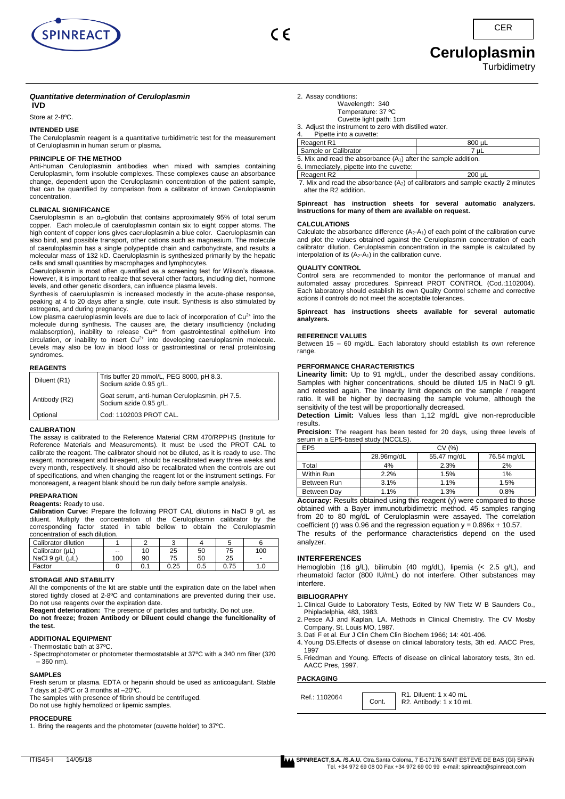



**Ceruloplasmin** 

**Turbidimetry** 

**C<sub>ER</sub>** 

# *Quantitative determination of Ceruloplasmin*

**IVD**

# Store at 2-8ºC.

#### **INTENDED USE**

The Ceruloplasmin reagent is a quantitative turbidimetric test for the measurement of Ceruloplasmin in human serum or plasma.

#### **PRINCIPLE OF THE METHOD**

Anti-human Ceruloplasmin antibodies when mixed with samples containing Ceruloplasmin, form insoluble complexes. These complexes cause an absorbance change, dependent upon the Ceruloplasmin concentration of the patient sample, that can be quantified by comparison from a calibrator of known Ceruloplasmin concentration.

#### **CLINICAL SIGNIFICANCE**

Caeruloplasmin is an α2-globulin that contains approximately 95% of total serum copper. Each molecule of caeruloplasmin contain six to eight copper atoms. The high content of copper ions gives caeruloplasmin a blue color. Caeruloplasmin can also bind, and possible transport, other cations such as magnesium. The molecule of caeruloplasmin has a single polypeptide chain and carbohydrate, and results a molecular mass of 132 kD. Caeruloplasmin is synthesized primarily by the hepatic cells and small quantities by macrophages and lymphocytes.

Caeruloplasmin is most often quantified as a screening test for Wilson's disease. However, it is important to realize that several other factors, including diet, hormone levels, and other genetic disorders, can influence plasma levels.

Synthesis of caeruluplasmin is increased modestly in the acute-phase response, peaking at 4 to 20 days after a single, cute insult. Synthesis is also stimulated by estrogens, and during pregnancy.

Low plasma caeruloplasmin levels are due to lack of incorporation of  $Cu<sup>2+</sup>$  into the molecule during synthesis. The causes are, the dietary insufficiency (including malabsorption), inability to release Cu<sup>2+</sup> from gastrointestinal epithelium into circulation, or inability to insert  $Cu^{2+}$  into developing caeruloplasmin molecule. Levels may also be low in blood loss or gastrointestinal or renal proteinlosing syndromes.

#### **REAGENTS**

| Diluent (R1)  | Tris buffer 20 mmol/L, PEG 8000, pH 8.3.<br>Sodium azide 0.95 g/L.      |
|---------------|-------------------------------------------------------------------------|
| Antibody (R2) | Goat serum, anti-human Ceruloplasmin, pH 7.5.<br>Sodium azide 0.95 g/L. |
| Optional      | Cod: 1102003 PROT CAL.                                                  |

#### **CALIBRATION**

The assay is calibrated to the Reference Material CRM 470/RPPHS (Institute for Reference Materials and Measurements). It must be used the PROT CAL to calibrate the reagent. The calibrator should not be diluted, as it is ready to use. The reagent, monoreagent and bireagent, should be recalibrated every three weeks and every month, respectively. It should also be recalibrated when the controls are out of specifications, and when changing the reagent lot or the instrument settings. For monoreagent, a reagent blank should be run daily before sample analysis.

#### **PREPARATION**

### **Reagents:** Ready to use.

**Calibration Curve:** Prepare the following PROT CAL dilutions in NaCl 9 g/L as diluent. Multiply the concentration of the Ceruloplasmin calibrator by the corresponding factor stated in table bellow to obtain the Ceruloplasmin concentration of each dilution.

| Calibrator dilution |     |     |      |     | J    |                          |
|---------------------|-----|-----|------|-----|------|--------------------------|
| Calibrator (µL)     | --  |     | 25   | 50  | 75   | 100                      |
| NaCl 9 g/L (µL)     | 100 | 90  | 75   | 50  | 25   | $\overline{\phantom{0}}$ |
| Factor              |     | 0.1 | 0.25 | 0.5 | 0.75 | 1.0                      |

#### **STORAGE AND STABILITY**

All the components of the kit are stable until the expiration date on the label when stored tightly closed at 2-8ºC and contaminations are prevented during their use. Do not use reagents over the expiration date.

**Reagent deterioration:** The presence of particles and turbidity. Do not use. **Do not freeze; frozen Antibody or Diluent could change the funcitionality of the test.**

# **ADDITIONAL EQUIPMENT**

- Thermostatic bath at 37ºC. - Spectrophotometer or photometer thermostatable at 37ºC with a 340 nm filter (320 – 360 nm).

#### **SAMPLES**

Fresh serum or plasma. EDTA or heparin should be used as anticoagulant. Stable 7 days at 2-8ºC or 3 months at –20ºC.

The samples with presence of fibrin should be centrifuged.

Do not use highly hemolized or lipemic samples.

## **PROCEDURE**

1. Bring the reagents and the photometer (cuvette holder) to 37ºC.

| 2. Assay conditions:                                   |        |  |
|--------------------------------------------------------|--------|--|
| Wavelength: 340                                        |        |  |
| Temperature: 37 °C                                     |        |  |
| Cuvette light path: 1cm                                |        |  |
| 3. Adjust the instrument to zero with distilled water. |        |  |
| Pipette into a cuvette:                                |        |  |
| Reagent R1                                             | 800 µL |  |

| -----                                                             |  |  |
|-------------------------------------------------------------------|--|--|
| 7 uL                                                              |  |  |
| 5. Mix and read the absorbance $(A_1)$ after the sample addition. |  |  |
| 6. Immediately, pipette into the cuvette:                         |  |  |
| 200 uL                                                            |  |  |
|                                                                   |  |  |

7. Mix and read the absorbance  $(A_2)$  of calibrators and sample exactly 2 minutes after the R2 addition.

#### **Spinreact has instruction sheets for several automatic analyzers. Instructions for many of them are available on request.**

# **CALCULATIONS**

Calculate the absorbance difference  $(A_2-A_1)$  of each point of the calibration curve and plot the values obtained against the Ceruloplasmin concentration of each calibrator dilution. Ceruloplasmin concentration in the sample is calculated by interpolation of its  $(A_2-A_1)$  in the calibration curve.

#### **QUALITY CONTROL**

Control sera are recommended to monitor the performance of manual and automated assay procedures. Spinreact PROT CONTROL (Cod.:1102004). Each laboratory should establish its own Quality Control scheme and corrective actions if controls do not meet the acceptable tolerances.

**Spinreact has instructions sheets available for several automatic analyzers.** 

#### **REFERENCE VALUES**

Between 15 – 60 mg/dL. Each laboratory should establish its own reference range.

#### **PERFORMANCE CHARACTERISTICS**

**Linearity limit:** Up to 91 mg/dL, under the described assay conditions. Samples with higher concentrations, should be diluted 1/5 in NaCl 9 g/L and retested again. The linearity limit depends on the sample / reagent ratio. It will be higher by decreasing the sample volume, although the sensitivity of the test will be proportionally decreased.

**Detection Limit:** Values less than 1,12 mg/dL give non-reproducible results.

Precision: The reagent has been tested for 20 days, using three levels of serum in a EP5-based study (NCCLS).

| EP <sub>5</sub> | CV(%)      |             |             |
|-----------------|------------|-------------|-------------|
|                 | 28.96mg/dL | 55.47 mg/dL | 76.54 mg/dL |
| Total           | 4%         | 2.3%        | 2%          |
| Within Run      | 2.2%       | 1.5%        | 1%          |
| Between Run     | 3.1%       | 1.1%        | 1.5%        |
| Between Day     | 1.1%       | 1.3%        | 0.8%        |

**Accuracy:** Results obtained using this reagent (y) were compared to those obtained with a Bayer immunoturbidimetric method. 45 samples ranging from 20 to 80 mg/dL of Ceruloplasmin were assayed. The correlation coefficient (r) was 0.96 and the regression equation  $y = 0.896x + 10.57$ . The results of the performance characteristics depend on the used

## **INTERFERENCES**

Hemoglobin (16 g/L), bilirrubin (40 mg/dL), lipemia (< 2.5 g/L), and rheumatoid factor (800 IU/mL) do not interfere. Other substances may interfere.

#### **BIBLIOGRAPHY**

analyzer.

- 1. Clinical Guide to Laboratory Tests, Edited by NW Tietz W B Saunders Co., Phipladelphia, 483, 1983.
- 2. Pesce AJ and Kaplan, LA. Methods in Clinical Chemistry. The CV Mosby Company, St. Louis MO, 1987.
- 3. Dati F et al. Eur J Clin Chem Clin Biochem 1966; 14: 401-406.
- 4. Young DS.Effects of disease on clinical laboratory tests, 3th ed. AACC Pres, 1997
- 5. Friedman and Young. Effects of disease on clinical laboratory tests, 3tn ed. AACC Pres, 1997.

# **PACKAGING**

| Ref.: 1102064 | R1. Diluent: 1 x 40 mL<br>$\vert$ Cont. $\vert$ R2. Antibody: 1 x 10 mL |  |
|---------------|-------------------------------------------------------------------------|--|
|---------------|-------------------------------------------------------------------------|--|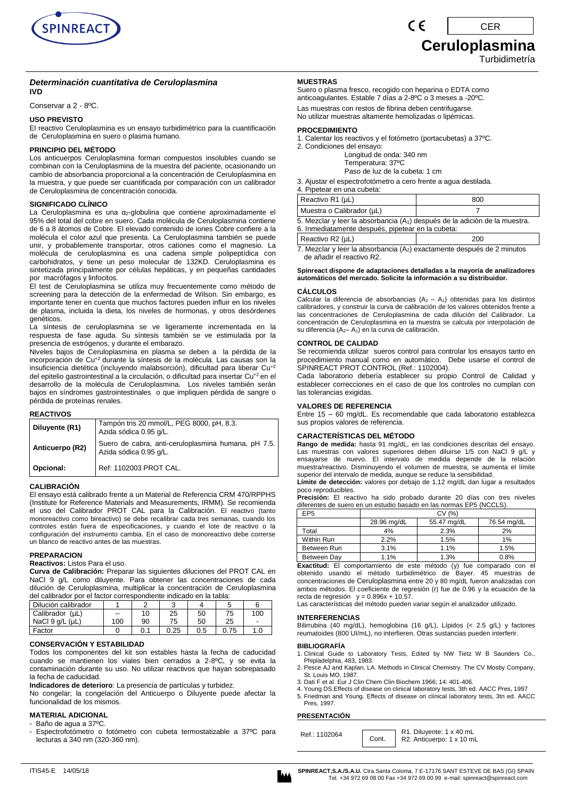

#### *Determinación cuantitativa de Ceruloplasmina* **IVD**

Conservar a 2 - 8ºC.

# **USO PREVISTO**

El reactivo Ceruloplasmina es un ensayo turbidimétrico para la cuantificación de Ceruloplasmina en suero o plasma humano.

#### **PRINCIPIO DEL MÉTODO**

Los anticuerpos Ceruloplasmina forman compuestos insolubles cuando se combinan con la Ceruloplasmina de la muestra del paciente, ocasionando un cambio de absorbancia proporcional a la concentración de Ceruloplasmina en la muestra, y que puede ser cuantificada por comparación con un calibrador de Ceruloplasmina de concentración conocida.

#### **SIGNIFICADO CLÍNICO**

La Ceruloplasmina es una α2-globulina que contiene aproximadamente el 95% del total del cobre en suero. Cada molécula de Ceruloplasmina contiene de 6 a 8 átomos de Cobre. El elevado contenido de iones Cobre confiere a la molécula el color azul que presenta. La Ceruloplasmina también se puede unir, y probablemente transportar, otros cationes como el magnesio. La molécula de ceruloplasmina es una cadena simple polipeptídica con carbohidratos, y tiene un peso molecular de 132KD. Ceruloplasmina es sintetizada principalmente por células hepáticas, y en pequeñas cantidades por macrófagos y linfocitos.

El test de Ceruloplasmina se utiliza muy frecuentemente como método de screening para la detección de la enfermedad de Wilson. Sin embargo, es importante tener en cuenta que muchos factores pueden influir en los niveles de plasma, incluida la dieta, los niveles de hormonas, y otros desórdenes genéticos.

La síntesis de ceruloplasmina se ve ligeramente incrementada en la respuesta de fase aguda. Su síntesis también se ve estimulada por la presencia de estrógenos, y durante el embarazo.

Niveles bajos de Ceruloplasmina en plasma se deben a la pérdida de la incorporación de Cu+2 durante la síntesis de la molécula. Las causas son la insuficiencia dietética (incluyendo malabsorción), dificultad para liberar Cu+2 del epitelio gastrointestinal a la circulación, o dificultad para insertar Cu+2 en el desarrollo de la molécula de Ceruloplasmina. Los niveles también serán bajos en síndromes gastrointestinales o que impliquen pérdida de sangre o pérdida de proteínas renales.

# **REACTIVOS**

| Diluyente (R1)  | Tampón tris 20 mmol/L, PEG 8000, pH, 8.3.<br>Azida sódica 0.95 g/L.           |
|-----------------|-------------------------------------------------------------------------------|
| Anticuerpo (R2) | Suero de cabra, anti-ceruloplasmina humana, pH 7.5.<br>Azida sódica 0.95 g/L. |
| Opcional:       | Ref: 1102003 PROT CAL.                                                        |

#### **CALIBRACIÓN**

El ensayo está calibrado frente a un Material de Referencia CRM 470/RPPHS (Institute for Reference Materials and Measurements, IRMM). Se recomienda el uso del Calibrador PROT CAL para la Calibración. El reactivo (tanto monoreactivo como bireactivo) se debe recalibrar cada tres semanas, cuando los controles están fuera de especificaciones, y cuando el lote de reactivo o la configuración del instrumento cambia. En el caso de monoreactivo debe correrse un blanco de reactivo antes de las muestras.

#### **PREPARACION**

**Reactivos:** Listos Para el uso.

**Curva de Calibración:** Preparar las siguientes diluciones del PROT CAL en NaCl 9 g/L como diluyente. Para obtener las concentraciones de cada dilución de Ceruloplasmina, multiplicar la concentración de Ceruloplasmina del calibrador por el factor correspondiente indicado en la tabla:

| uci valibrador bor or lavíor correspondichte indicado en la tabla. |       |     |      |     |      |     |
|--------------------------------------------------------------------|-------|-----|------|-----|------|-----|
| Dilución calibrador                                                |       |     |      |     |      |     |
| Calibrador (µL)                                                    | $- -$ | 10  | 25   | 50  | 75   | 100 |
| NaCl $9$ $a/L$ ( $uL$ )                                            | 100   | 90  | 75   | 50  | 25   |     |
| Factor                                                             |       | 0.1 | 0.25 | 0.5 | 0.75 | 1.0 |

#### **CONSERVACIÓN Y ESTABILIDAD**

Todos los componentes del kit son estables hasta la fecha de caducidad cuando se mantienen los viales bien cerrados a 2-8ºC, y se evita la contaminación durante su uso. No utilizar reactivos que hayan sobrepasado la fecha de caducidad.

**Indicadores de deterioro**: La presencia de partículas y turbidez.

No congelar; la congelación del Anticuerpo o Diluyente puede afectar la funcionalidad de los mismos.

# **MATERIAL ADICIONAL**

- Baño de agua a 37ºC.

Espectrofotómetro o fotómetro con cubeta termostatizable a 37°C para lecturas a 340 nm (320-360 nm).

## **MUESTRAS**

Suero o plasma fresco, recogido con heparina o EDTA como anticoagulantes. Estable 7 días a 2-8ºC o 3 meses a -20ºC.

Las muestras con restos de fibrina deben centrifugarse. No utilizar muestras altamente hemolizadas o lipémicas.

# **PROCEDIMIENTO**

- 1. Calentar los reactivos y el fotómetro (portacubetas) a 37ºC.
- 2. Condiciones del ensayo: Longitud de onda: 340 nm Temperatura: 37ºC

Paso de luz de la cubeta: 1 cm

3. Ajustar el espectrofotómetro a cero frente a agua destilada.

4. Pipetear en una cubeta:

| $\tau$ . There is the concerning $\tau$                                                  |     |  |
|------------------------------------------------------------------------------------------|-----|--|
| Reactivo R1 $(\mu L)$                                                                    | 800 |  |
| Muestra o Calibrador (µL)                                                                |     |  |
| $F$ . Mandoru la si la akasikansia $(A \setminus A)$ desauta de la adisita de la musatro |     |  |

5. Mezclar y leer la absorbancia (A1) después de la adición de la muestra. 6. Inmediatamente después, pipetear en la cubeta:

| Reactivo $R2$ ( $\mu$ L)                                                            | 200 |  |
|-------------------------------------------------------------------------------------|-----|--|
| 7. Mezclar y leer la absorbancia (A <sub>2</sub> ) exactamente después de 2 minutos |     |  |

de añadir el reactivo R2.

#### **Spinreact dispone de adaptaciones detalladas a la mayoría de analizadores automáticos del mercado. Solicite la información a su distribuidor.**

# **CÁLCULOS**

Calcular la diferencia de absorbancias  $(A_2 - A_1)$  obtenidas para los distintos calibradores, y construir la curva de calibración de los valores obtenidos frente a las concentraciones de Ceruloplasmina de cada dilución del Calibrador. La concentración de Ceruloplasmina en la muestra se calcula por interpolación de su diferencia (A<sub>2</sub>– A<sub>1</sub>) en la curva de calibración.

# **CONTROL DE CALIDAD**

Se recomienda utilizar sueros control para controlar los ensayos tanto en procedimiento manual como en automático. Debe usarse el control de SPINREACT PROT CONTROL (Ref.: 1102004).

Cada laboratorio debería establecer su propio Control de Calidad y establecer correcciones en el caso de que los controles no cumplan con las tolerancias exigidas.

# **VALORES DE REFERENCIA**

Entre 15 – 60 mg/dL. Es recomendable que cada laboratorio establezca sus propios valores de referencia.

# **CARACTERÍSTICAS DEL MÉTODO**

**Rango de medida:** hasta 91 mg/dL, en las condiciones descritas del ensayo. Las muestras con valores superiores deben diluirse 1/5 con NaCl 9 g/L y ensayarse de nuevo. El intervalo de medida depende de la relación muestra/reactivo. Disminuyendo el volumen de muestra, se aumenta el límite superior del intervalo de medida, aunque se reduce la sensibilidad.

**Límite de detección:** valores por debajo de 1,12 mg/dL dan lugar a resultados poco reproducibles*.*

**Precisión:** El reactivo ha sido probado durante 20 días con tres niveles diferentes de suero en un estudio basado en las normas EP5 (NCCLS).

| EP <sub>5</sub> | CV (%)      |             |             |
|-----------------|-------------|-------------|-------------|
|                 | 28.96 mg/dL | 55.47 mg/dL | 76.54 mg/dL |
| Total           | 4%          | 2.3%        | 2%          |
| Within Run      | 2.2%        | 1.5%        | 1%          |
| Between Run     | 3.1%        | 1.1%        | 1.5%        |
| Between Day     | 1.1%        | 1.3%        | 0.8%        |

**Exactitud:** El comportamiento de este método (y) fue comparado con el obtenido usando el método turbidimétrico de Bayer. 45 muestras de concentraciones de Ceruloplasmina entre 20 y 80 mg/dL fueron analizadas con ambos métodos. El coeficiente de regresión (r) fue de 0.96 y la ecuación de la recta de regresión  $y = 0.896x + 10.57$ .

Las características del método pueden variar según el analizador utilizado.

#### **INTERFERENCIAS**

Bilirrubina (40 mg/dL), hemoglobina (16 g/L), Lípidos (< 2.5 g/L) y factores reumatoides (800 UI/mL), no interfieren. Otras sustancias pueden interferir.

#### **BIBLIOGRAFÍA**

- 1. Clinical Guide to Laboratory Tests, Edited by NW Tietz W B Saunders Co., Phipladelphia, 483, 1983.
- 2. Pesce AJ and Kaplan, LA. Methods in Clinical Chemistry. The CV Mosby Company, St. Louis MO, 1987.
- 3. Dati F et al. Eur J Clin Chem Clin Biochem 1966; 14: 401-406.
- 4. Young DS.Effects of disease on clinical laboratory tests, 3th ed. AACC Pres, 1997 5. Friedman and Young. Effects of disease on clinical laboratory tests, 3tn ed. AACC Pres, 1997.

### **PRESENTACIÓN**

| Ref.: 1102064 | R1. Diluyente: 1 x 40 mL<br>Cont.   R2. Anticuerpo: 1 x 10 mL |
|---------------|---------------------------------------------------------------|
|               |                                                               |

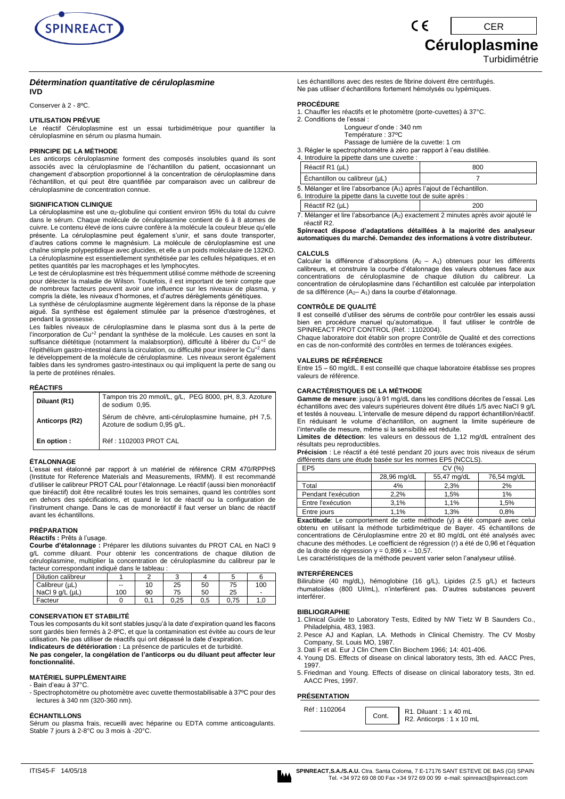

CER

**Céruloplasmine**

Turbidimétrie

# *Détermination quantitative de céruloplasmine*

**IVD**

Conserver à 2 - 8ºC.

#### **UTILISATION PRÉVUE**

Le réactif Céruloplasmine est un essai turbidimétrique pour quantifier la céruloplasmine en sérum ou plasma humain.

# **PRINCIPE DE LA MÉTHODE**

Les anticorps céruloplasmine forment des composés insolubles quand ils sont associés avec la céruloplasmine de l'échantillon du patient, occasionnant un changement d'absorption proportionnel à la concentration de céruloplasmine dans l'échantillon, et qui peut être quantifiée par comparaison avec un calibreur de céruloplasmine de concentration connue.

### **SIGNIFICATION CLINIQUE**

La céruloplasmine est une α<sub>2</sub>-globuline qui contient environ 95% du total du cuivre dans le sérum. Chaque molécule de céruloplasmine contient de 6 à 8 atomes de cuivre. Le contenu élevé de ions cuivre confère à la molécule la couleur bleue qu'elle présente. La céruloplasmine peut également s'unir, et sans doute transporter, d'autres cations comme le magnésium. La molécule de céruloplasmine est une chaîne simple polypeptidique avec glucides, et elle a un poids moléculaire de 132KD. La céruloplasmine est essentiellement synthétisée par les cellules hépatiques, et en petites quantités par les macrophages et les lymphocytes.

Le test de céruloplasmine est très fréquemment utilisé comme méthode de screening pour détecter la maladie de Wilson. Toutefois, il est important de tenir compte que de nombreux facteurs peuvent avoir une influence sur les niveaux de plasma, y compris la diète, les niveaux d'hormones, et d'autres dérèglements génétiques.

La synthèse de céruloplasmine augmente légèrement dans la réponse de la phase aiguë. Sa synthèse est également stimulée par la présence d'œstrogènes, et pendant la grossesse.

Les faibles niveaux de céruloplasmine dans le plasma sont dus à la perte de<br>l'incorporation de Cu+<sup>2</sup> pendant la synthèse de la molécule. Les causes en sont la suffisance diététique (notamment la malabsorption), difficulté à libérer du Cu<sup>+2</sup> de l'épithélium gastro-intestinal dans la circulation, ou difficulté pour insérer le Cu<sup>+2</sup> dans le développement de la molécule de céruloplasmine. Les niveaux seront également faibles dans les syndromes gastro-intestinaux ou qui impliquent la perte de sang ou la perte de protéines rénales.

# **RÉACTIFS**

| Diluant (R1)   | Tampon tris 20 mmol/L, q/L, PEG 8000, pH, 8,3. Azoture<br>de sodium 0,95.            |
|----------------|--------------------------------------------------------------------------------------|
| Anticorps (R2) | Sérum de chèvre, anti-céruloplasmine humaine, pH 7,5.<br>Azoture de sodium 0,95 q/L. |
| En option :    | Réf: 1102003 PROT CAL                                                                |

#### **ÉTALONNAGE**

L'essai est étalonné par rapport à un matériel de référence CRM 470/RPPHS (Institute for Reference Materials and Measurements, IRMM). Il est recommandé d'utiliser le calibreur PROT CAL pour l'étalonnage. Le réactif (aussi bien monoréactif que biréactif) doit être recalibré toutes les trois semaines, quand les contrôles sont en dehors des spécifications, et quand le lot de réactif ou la configuration de l'instrument change. Dans le cas de monoréactif il faut verser un blanc de réactif avant les échantillons.

#### **PRÉPARATION**

# **Réactifs :** Prêts à l'usage.

**Courbe d'étalonnage :** Préparer les dilutions suivantes du PROT CAL en NaCl 9 g/L comme diluant. Pour obtenir les concentrations de chaque dilution de céruloplasmine, multiplier la concentration de céruloplasmine du calibreur par le facteur correspondant indiqué dans le tableau :

| Dilution calibreur |                          |    |      |     |      |                          |  |
|--------------------|--------------------------|----|------|-----|------|--------------------------|--|
| Calibreur (µL)     | $\overline{\phantom{a}}$ | 10 | 25   | 50  | 75   | 100                      |  |
| NaCl 9 g/L (uL)    | 100                      | 90 | 75   | 50  | 25   | $\overline{\phantom{a}}$ |  |
| Facteur            |                          |    | 0.25 | 0.5 | 0.75 | 0, ١                     |  |

#### **CONSERVATION ET STABILITÉ**

Tous les composants du kit sont stables jusqu'à la date d'expiration quand les flacons sont gardés bien fermés à 2-8ºC, et que la contamination est évitée au cours de leur utilisation. Ne pas utiliser de réactifs qui ont dépassé la date d'expiration. **Indicateurs de détérioration :** La présence de particules et de turbidité.

**Ne pas congeler, la congélation de l'anticorps ou du diluant peut affecter leur fonctionnalité.**

# **MATÉRIEL SUPPLÉMENTAIRE**

- Bain d'eau à 37°C.

- Spectrophotomètre ou photomètre avec cuvette thermostabilisable à 37ºC pour des lectures à 340 nm (320-360 nm).

#### **ÉCHANTILLONS**

Sérum ou plasma frais, recueilli avec héparine ou EDTA comme anticoagulants. Stable 7 jours à 2-8°C ou 3 mois à -20°C.

Les échantillons avec des restes de fibrine doivent être centrifugés. Ne pas utiliser d'échantillons fortement hémolysés ou lypémiques.

#### **PROCÉDURE**

- 1. Chauffer les réactifs et le photomètre (porte-cuvettes) à 37°C.
- 2. Conditions de l'essai :
	- Longueur d'onde : 340 nm Température : 37ºC

Passage de lumière de la cuvette: 1 cm

- 3. Régler le spectrophotomètre à zéro par rapport à l'eau distillée.
- 4. Introduire la pipette dans une cuvette

| Réactif $R1$ ( $\mu$ L)                                                            | 800 |  |  |  |  |  |
|------------------------------------------------------------------------------------|-----|--|--|--|--|--|
| Échantillon ou calibreur (µL)                                                      |     |  |  |  |  |  |
| 5. Mélanger et lire l'absorbance (A <sub>1</sub> ) après l'ajout de l'échantillon. |     |  |  |  |  |  |

CE

6. Introduire la pipette dans la cuvette tout de suite après :

| 0. millouding ia pipolio dano la cavollo loui de sulle apres .                                |     |  |  |  |  |  |  |
|-----------------------------------------------------------------------------------------------|-----|--|--|--|--|--|--|
| Réactif R2 (µL)                                                                               | 200 |  |  |  |  |  |  |
| 7. Mélanger et lire l'absorbance (A <sub>2</sub> ) exactement 2 minutes après avoir ajouté le |     |  |  |  |  |  |  |

7. Mélanger et lire l'absorbance (A2) exactement 2 minutes après avoir ajouté le réactif R2.

**Spinreact dispose d'adaptations détaillées à la majorité des analyseur automatiques du marché. Demandez des informations à votre distributeur.**

#### **CALCULS**

Calculer la différence d'absorptions  $(A_2 - A_1)$  obtenues pour les différents calibreurs, et construire la courbe d'étalonnage des valeurs obtenues face aux concentrations de céruloplasmine de chaque dilution du calibreur. La concentration de céruloplasmine dans l'échantillon est calculée par interpolation de sa différence (A<sub>2</sub>– A<sub>1</sub>) dans la courbe d'étalonnage.

#### **CONTRÔLE DE QUALITÉ**

Il est conseillé d'utiliser des sérums de contrôle pour contrôler les essais aussi bien en procédure manuel qu'automatique. Il faut utiliser le contrôle de SPINREACT PROT CONTROL (Réf. : 1102004).

Chaque laboratoire doit établir son propre Contrôle de Qualité et des corrections en cas de non-conformité des contrôles en termes de tolérances exigées.

# **VALEURS DE RÉFÉRENCE**

Entre 15 – 60 mg/dL. Il est conseillé que chaque laboratoire établisse ses propres valeurs de référence.

#### **CARACTÉRISTIQUES DE LA MÉTHODE**

**Gamme de mesure**: jusqu'à 91 mg/dL dans les conditions décrites de l'essai. Les échantillons avec des valeurs supérieures doivent être dilués 1/5 avec NaCI 9 g/L et testés à nouveau. L'intervalle de mesure dépend du rapport échantillon/réactif. En réduisant le volume d'échantillon, on augment la limite supérieure de l'intervalle de mesure, même si la sensibilité est réduite.

Limites de détection: les valeurs en dessous de 1,12 mg/dL entraînent des résultats peu reproductibles.

**Précision** : Le réactif a été testé pendant 20 jours avec trois niveaux de sérum différents dans une étude basée sur les normes EP5 (NCCLS).

| EP <sub>5</sub>     | CV (%)                                    |      |      |  |  |
|---------------------|-------------------------------------------|------|------|--|--|
|                     | 55,47 mg/dL<br>76,54 mg/dL<br>28,96 mg/dL |      |      |  |  |
| Total               | 4%                                        | 2.3% | 2%   |  |  |
| Pendant l'exécution | 2.2%                                      | 1.5% | 1%   |  |  |
| Entre l'exécution   | 3.1%                                      | 1.1% | 1.5% |  |  |
| Entre jours         | 1.1%                                      | 1.3% | 0.8% |  |  |

**Exactitude**: Le comportement de cette méthode (y) a été comparé avec celui obtenu en utilisant la méthode turbidimétrique de Bayer. 45 échantillons de concentrations de Céruloplasmine entre 20 et 80 mg/dL ont été analysés avec chacune des méthodes. Le coefficient de régression (r) a été de 0,96 et l'équation de la droite de régression  $y = 0,896 x - 10,57$ .

Les caractéristiques de la méthode peuvent varier selon l'analyseur utilisé.

#### **INTERFÉRENCES**

Bilirubine (40 mg/dL), hémoglobine (16 g/L), Lipides (2.5 g/L) et facteurs rhumatoïdes (800 UI/mL), n'interfèrent pas. D'autres substances peuvent interférer.

#### **BIBLIOGRAPHIE**

- 1. Clinical Guide to Laboratory Tests, Edited by NW Tietz W B Saunders Co., Philadelphia, 483, 1983.
- 2. Pesce AJ and Kaplan, LA. Methods in Clinical Chemistry. The CV Mosby Company, St. Louis MO, 1987.
- 3. Dati F et al. Eur J Clin Chem Clin Biochem 1966; 14: 401-406.
- 4. Young DS. Effects of disease on clinical laboratory tests, 3th ed. AACC Pres, 1007
- 5. Friedman and Young. Effects of disease on clinical laboratory tests, 3tn ed. AACC Pres, 1997.

# **PRÉSENTATION**

| Réf: 1102064 | Cont. | $\vert$ R1. Diluant : 1 x 40 mL |  |
|--------------|-------|---------------------------------|--|
|              |       | R2. Anticorps: 1 x 10 mL        |  |